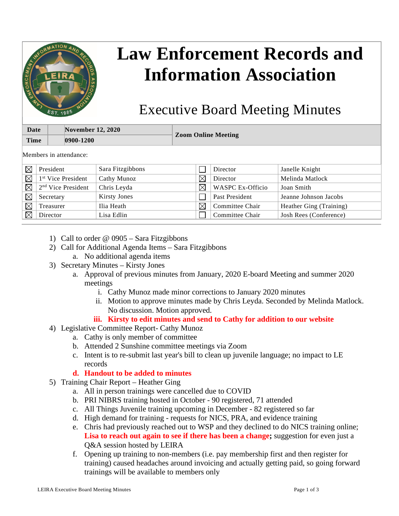

## **Law Enforcement Records and Information Association**

## Executive Board Meeting Minutes

| <b>Date</b> | <b>November 12, 2020</b> |                            |  |
|-------------|--------------------------|----------------------------|--|
| <b>Time</b> | $ 0900 - 1200 $          | <b>Zoom Online Meeting</b> |  |
|             |                          |                            |  |

Members in attendance:

|             | President                      | Sara Fitzgibbons    |             | Director                | Janelle Knight          |
|-------------|--------------------------------|---------------------|-------------|-------------------------|-------------------------|
| $\boxtimes$ | 1 <sup>st</sup> Vice President | Cathy Munoz         | $\boxtimes$ | Director                | Melinda Matlock         |
| $\boxtimes$ | 2 <sup>nd</sup> Vice President | Chris Leyda         | ⊠           | <b>WASPC Ex-Officio</b> | Joan Smith              |
| $\boxtimes$ | Secretary                      | <b>Kirsty Jones</b> |             | Past President          | Jeanne Johnson Jacobs   |
|             | Treasurer                      | Ilia Heath          | $\boxtimes$ | Committee Chair         | Heather Ging (Training) |
|             | Director                       | Lisa Edlin          |             | Committee Chair         | Josh Rees (Conference)  |

- 1) Call to order @ 0905 Sara Fitzgibbons
- 2) Call for Additional Agenda Items Sara Fitzgibbons
	- a. No additional agenda items
- 3) Secretary Minutes Kirsty Jones
	- a. Approval of previous minutes from January, 2020 E-board Meeting and summer 2020 meetings
		- i. Cathy Munoz made minor corrections to January 2020 minutes
		- ii. Motion to approve minutes made by Chris Leyda. Seconded by Melinda Matlock. No discussion. Motion approved.
		- **iii. Kirsty to edit minutes and send to Cathy for addition to our website**
- 4) Legislative Committee Report- Cathy Munoz
	- a. Cathy is only member of committee
	- b. Attended 2 Sunshine committee meetings via Zoom
	- c. Intent is to re-submit last year's bill to clean up juvenile language; no impact to LE records
	- **d. Handout to be added to minutes**
- 5) Training Chair Report Heather Ging
	- a. All in person trainings were cancelled due to COVID
	- b. PRI NIBRS training hosted in October 90 registered, 71 attended
	- c. All Things Juvenile training upcoming in December 82 registered so far
	- d. High demand for training requests for NICS, PRA, and evidence training
	- e. Chris had previously reached out to WSP and they declined to do NICS training online; **Lisa to reach out again to see if there has been a change;** suggestion for even just a Q&A session hosted by LEIRA
	- f. Opening up training to non-members (i.e. pay membership first and then register for training) caused headaches around invoicing and actually getting paid, so going forward trainings will be available to members only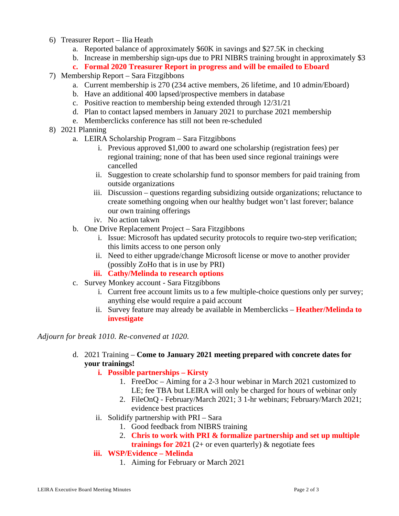- 6) Treasurer Report Ilia Heath
	- a. Reported balance of approximately \$60K in savings and \$27.5K in checking
	- b. Increase in membership sign-ups due to PRI NIBRS training brought in approximately \$3
	- **c. Formal 2020 Treasurer Report in progress and will be emailed to Eboard**
- 7) Membership Report Sara Fitzgibbons
	- a. Current membership is 270 (234 active members, 26 lifetime, and 10 admin/Eboard)
	- b. Have an additional 400 lapsed/prospective members in database
	- c. Positive reaction to membership being extended through 12/31/21
	- d. Plan to contact lapsed members in January 2021 to purchase 2021 membership
	- e. Memberclicks conference has still not been re-scheduled
- 8) 2021 Planning
	- a. LEIRA Scholarship Program Sara Fitzgibbons
		- i. Previous approved \$1,000 to award one scholarship (registration fees) per regional training; none of that has been used since regional trainings were cancelled
		- ii. Suggestion to create scholarship fund to sponsor members for paid training from outside organizations
		- iii. Discussion questions regarding subsidizing outside organizations; reluctance to create something ongoing when our healthy budget won't last forever; balance our own training offerings
		- iv. No action takwn
	- b. One Drive Replacement Project Sara Fitzgibbons
		- i. Issue: Microsoft has updated security protocols to require two-step verification; this limits access to one person only
		- ii. Need to either upgrade/change Microsoft license or move to another provider (possibly ZoHo that is in use by PRI)
		- **iii. Cathy/Melinda to research options**
	- c. Survey Monkey account Sara Fitzgibbons
		- i. Current free account limits us to a few multiple-choice questions only per survey; anything else would require a paid account
		- ii. Survey feature may already be available in Memberclicks **Heather/Melinda to investigate**

*Adjourn for break 1010. Re-convened at 1020.*

d. 2021 Training – **Come to January 2021 meeting prepared with concrete dates for your trainings!**

## **i. Possible partnerships – Kirsty**

- 1. FreeDoc Aiming for a 2-3 hour webinar in March 2021 customized to LE; fee TBA but LEIRA will only be charged for hours of webinar only
- 2. FileOnQ February/March 2021; 3 1-hr webinars; February/March 2021; evidence best practices
- ii. Solidify partnership with PRI Sara
	- 1. Good feedback from NIBRS training
	- 2. **Chris to work with PRI & formalize partnership and set up multiple trainings for 2021** (2+ or even quarterly)  $\&$  negotiate fees

## **iii. WSP/Evidence – Melinda**

1. Aiming for February or March 2021